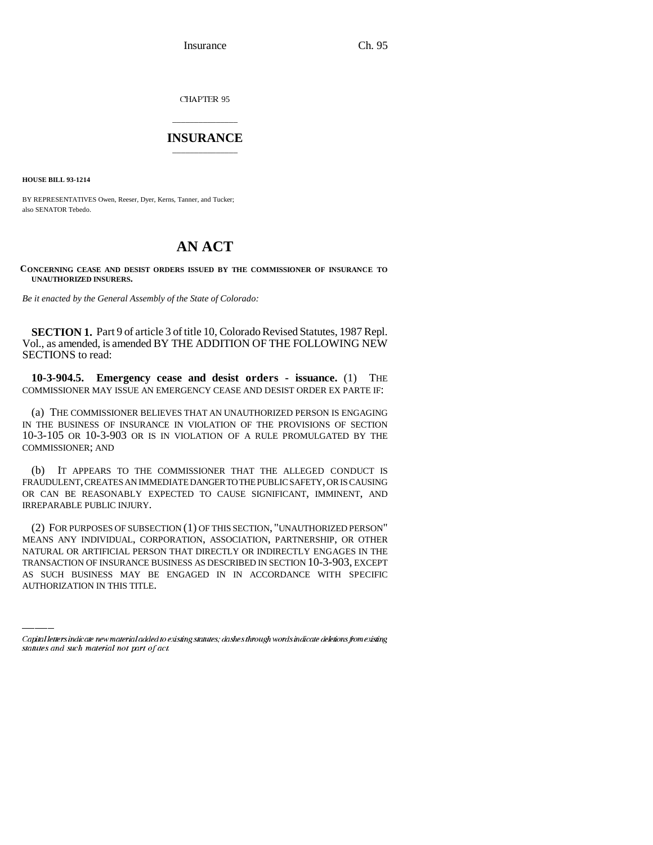Insurance Ch. 95

CHAPTER 95

## \_\_\_\_\_\_\_\_\_\_\_\_\_\_\_ **INSURANCE** \_\_\_\_\_\_\_\_\_\_\_\_\_\_\_

**HOUSE BILL 93-1214**

BY REPRESENTATIVES Owen, Reeser, Dyer, Kerns, Tanner, and Tucker; also SENATOR Tebedo.

# **AN ACT**

### **CONCERNING CEASE AND DESIST ORDERS ISSUED BY THE COMMISSIONER OF INSURANCE TO UNAUTHORIZED INSURERS.**

*Be it enacted by the General Assembly of the State of Colorado:*

**SECTION 1.** Part 9 of article 3 of title 10, Colorado Revised Statutes, 1987 Repl. Vol., as amended, is amended BY THE ADDITION OF THE FOLLOWING NEW SECTIONS to read:

**10-3-904.5. Emergency cease and desist orders - issuance.** (1) THE COMMISSIONER MAY ISSUE AN EMERGENCY CEASE AND DESIST ORDER EX PARTE IF:

(a) THE COMMISSIONER BELIEVES THAT AN UNAUTHORIZED PERSON IS ENGAGING IN THE BUSINESS OF INSURANCE IN VIOLATION OF THE PROVISIONS OF SECTION 10-3-105 OR 10-3-903 OR IS IN VIOLATION OF A RULE PROMULGATED BY THE COMMISSIONER; AND

(b) IT APPEARS TO THE COMMISSIONER THAT THE ALLEGED CONDUCT IS FRAUDULENT, CREATES AN IMMEDIATE DANGER TO THE PUBLIC SAFETY, OR IS CAUSING OR CAN BE REASONABLY EXPECTED TO CAUSE SIGNIFICANT, IMMINENT, AND IRREPARABLE PUBLIC INJURY.

NATURAL OR ARTIFICIAL PERSON THAT DIRECTLY OR INDIRECTLY ENGAGES IN THE (2) FOR PURPOSES OF SUBSECTION (1) OF THIS SECTION, "UNAUTHORIZED PERSON" MEANS ANY INDIVIDUAL, CORPORATION, ASSOCIATION, PARTNERSHIP, OR OTHER TRANSACTION OF INSURANCE BUSINESS AS DESCRIBED IN SECTION 10-3-903, EXCEPT AS SUCH BUSINESS MAY BE ENGAGED IN IN ACCORDANCE WITH SPECIFIC AUTHORIZATION IN THIS TITLE.

Capital letters indicate new material added to existing statutes; dashes through words indicate deletions from existing statutes and such material not part of act.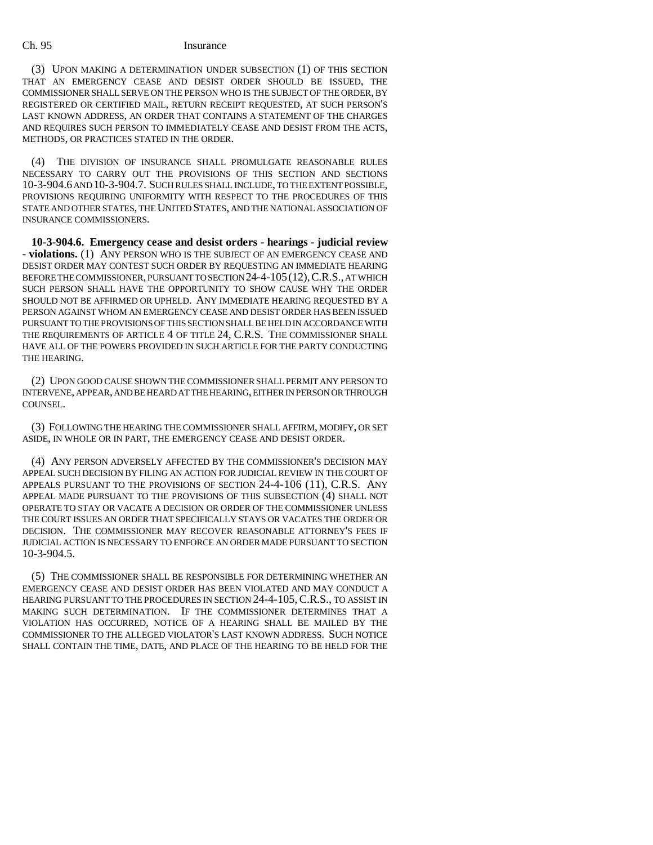### Ch. 95 Insurance

(3) UPON MAKING A DETERMINATION UNDER SUBSECTION (1) OF THIS SECTION THAT AN EMERGENCY CEASE AND DESIST ORDER SHOULD BE ISSUED, THE COMMISSIONER SHALL SERVE ON THE PERSON WHO IS THE SUBJECT OF THE ORDER, BY REGISTERED OR CERTIFIED MAIL, RETURN RECEIPT REQUESTED, AT SUCH PERSON'S LAST KNOWN ADDRESS, AN ORDER THAT CONTAINS A STATEMENT OF THE CHARGES AND REQUIRES SUCH PERSON TO IMMEDIATELY CEASE AND DESIST FROM THE ACTS, METHODS, OR PRACTICES STATED IN THE ORDER.

(4) THE DIVISION OF INSURANCE SHALL PROMULGATE REASONABLE RULES NECESSARY TO CARRY OUT THE PROVISIONS OF THIS SECTION AND SECTIONS 10-3-904.6 AND 10-3-904.7. SUCH RULES SHALL INCLUDE, TO THE EXTENT POSSIBLE, PROVISIONS REQUIRING UNIFORMITY WITH RESPECT TO THE PROCEDURES OF THIS STATE AND OTHER STATES, THE UNITED STATES, AND THE NATIONAL ASSOCIATION OF INSURANCE COMMISSIONERS.

**10-3-904.6. Emergency cease and desist orders - hearings - judicial review - violations.** (1) ANY PERSON WHO IS THE SUBJECT OF AN EMERGENCY CEASE AND DESIST ORDER MAY CONTEST SUCH ORDER BY REQUESTING AN IMMEDIATE HEARING BEFORE THE COMMISSIONER, PURSUANT TO SECTION 24-4-105 (12), C.R.S., AT WHICH SUCH PERSON SHALL HAVE THE OPPORTUNITY TO SHOW CAUSE WHY THE ORDER SHOULD NOT BE AFFIRMED OR UPHELD. ANY IMMEDIATE HEARING REQUESTED BY A PERSON AGAINST WHOM AN EMERGENCY CEASE AND DESIST ORDER HAS BEEN ISSUED PURSUANT TO THE PROVISIONS OF THIS SECTION SHALL BE HELD IN ACCORDANCE WITH THE REQUIREMENTS OF ARTICLE 4 OF TITLE 24, C.R.S. THE COMMISSIONER SHALL HAVE ALL OF THE POWERS PROVIDED IN SUCH ARTICLE FOR THE PARTY CONDUCTING THE HEARING.

(2) UPON GOOD CAUSE SHOWN THE COMMISSIONER SHALL PERMIT ANY PERSON TO INTERVENE, APPEAR, AND BE HEARD AT THE HEARING, EITHER IN PERSON OR THROUGH COUNSEL.

(3) FOLLOWING THE HEARING THE COMMISSIONER SHALL AFFIRM, MODIFY, OR SET ASIDE, IN WHOLE OR IN PART, THE EMERGENCY CEASE AND DESIST ORDER.

(4) ANY PERSON ADVERSELY AFFECTED BY THE COMMISSIONER'S DECISION MAY APPEAL SUCH DECISION BY FILING AN ACTION FOR JUDICIAL REVIEW IN THE COURT OF APPEALS PURSUANT TO THE PROVISIONS OF SECTION 24-4-106 (11), C.R.S. ANY APPEAL MADE PURSUANT TO THE PROVISIONS OF THIS SUBSECTION (4) SHALL NOT OPERATE TO STAY OR VACATE A DECISION OR ORDER OF THE COMMISSIONER UNLESS THE COURT ISSUES AN ORDER THAT SPECIFICALLY STAYS OR VACATES THE ORDER OR DECISION. THE COMMISSIONER MAY RECOVER REASONABLE ATTORNEY'S FEES IF JUDICIAL ACTION IS NECESSARY TO ENFORCE AN ORDER MADE PURSUANT TO SECTION 10-3-904.5.

(5) THE COMMISSIONER SHALL BE RESPONSIBLE FOR DETERMINING WHETHER AN EMERGENCY CEASE AND DESIST ORDER HAS BEEN VIOLATED AND MAY CONDUCT A HEARING PURSUANT TO THE PROCEDURES IN SECTION 24-4-105, C.R.S., TO ASSIST IN MAKING SUCH DETERMINATION. IF THE COMMISSIONER DETERMINES THAT A VIOLATION HAS OCCURRED, NOTICE OF A HEARING SHALL BE MAILED BY THE COMMISSIONER TO THE ALLEGED VIOLATOR'S LAST KNOWN ADDRESS. SUCH NOTICE SHALL CONTAIN THE TIME, DATE, AND PLACE OF THE HEARING TO BE HELD FOR THE